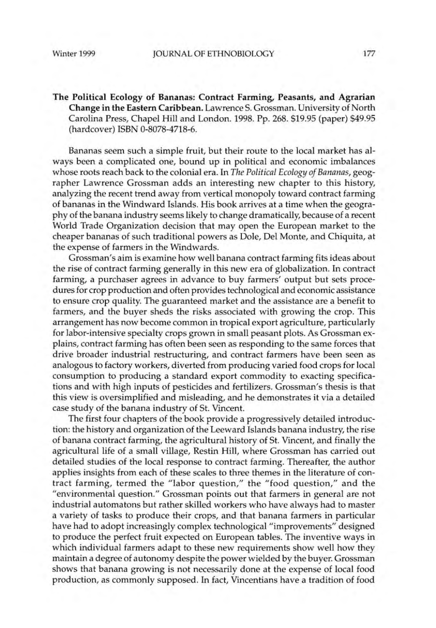The Political Ecology of Bananas: Contract Farming, Peasants, and Agrarian Change in the Eastern Caribbean. Lawrence S.Grossman. University of North Carolina Press, Chapel Hill and London. 1998. Pp. 268. \$19.95 (paper) \$49.95 (hardcover) ISBN 0-8078-4718-6.

Bananas seem such a simple fruit, but their route to the local market has always been a complicated one, bound up in political and economic imbalances whose roots reach back to the colonial era. In *The Political Ecology of Bananas,* geographer Lawrence Grossman adds an interesting new chapter to this history, analyzing the recent trend away from vertical monopoly toward contract farming of bananas in the Windward Islands. His book arrives at a time when the geography of the banana industry seems likely to change dramatically, because of a recent World Trade Organization decision that may open the European market to the cheaper bananas of such traditional powers as Dole, Del Monte, and Chiquita, at the expense of farmers in the Windwards.

Grossman's aim is examine how well banana contract farming fits ideas about the rise of contract farming generally in this new era of globalization. In contract farming, a purchaser agrees in advance to buy farmers' output but sets procedures for crop production and often provides technological and economic assistance to ensure crop quality. The guaranteed market and the assistance are a benefit to farmers, and the buyer sheds the risks associated with growing the crop. This arrangement has now become common in tropical export agriculture, particularly for labor-intensive specialty crops grown in small peasant plots. As Grossman explains, contract farming has often been seen as responding to the same forces that drive broader industrial restructuring, and contract farmers have been seen as analogous to factory workers, diverted from producing varied food crops for local consumption to producing a standard export commodity to exacting specifications and with high inputs of pesticides and fertilizers. Grossman's thesis is that this view is oversimplified and misleading, and he demonstrates it via a detailed case study of the banana industry of St. Vincent.

The first four chapters of the book provide a progressively detailed introduction: the history and organization of the Leeward Islands banana industry, the rise of banana contract farming, the agricultural history of St. Vincent, and finally the agricultural life of a small village, Restin Hill, where Grossman has carried out detailed studies of the local response to contract farming. Thereafter, the author applies insights from each of these scales to three themes in the literature of contract farming, termed the "labor question," the "food question," and the "environmental question." Grossman points out that farmers in general are not industrial automatons but rather skilled workers who have always had to master a variety of tasks to produce their crops, and that banana farmers in particular have had to adopt increasingly complex technological "improvements" designed to produce the perfect fruit expected on European tables. The inventive ways in which individual farmers adapt to these new requirements show well how they maintain a degree of autonomy despite the power wielded by the buyer. Grossman shows that banana growing is not necessarily done at the expense of local food production, as commonly supposed. In fact, Vincentians have a tradition of food